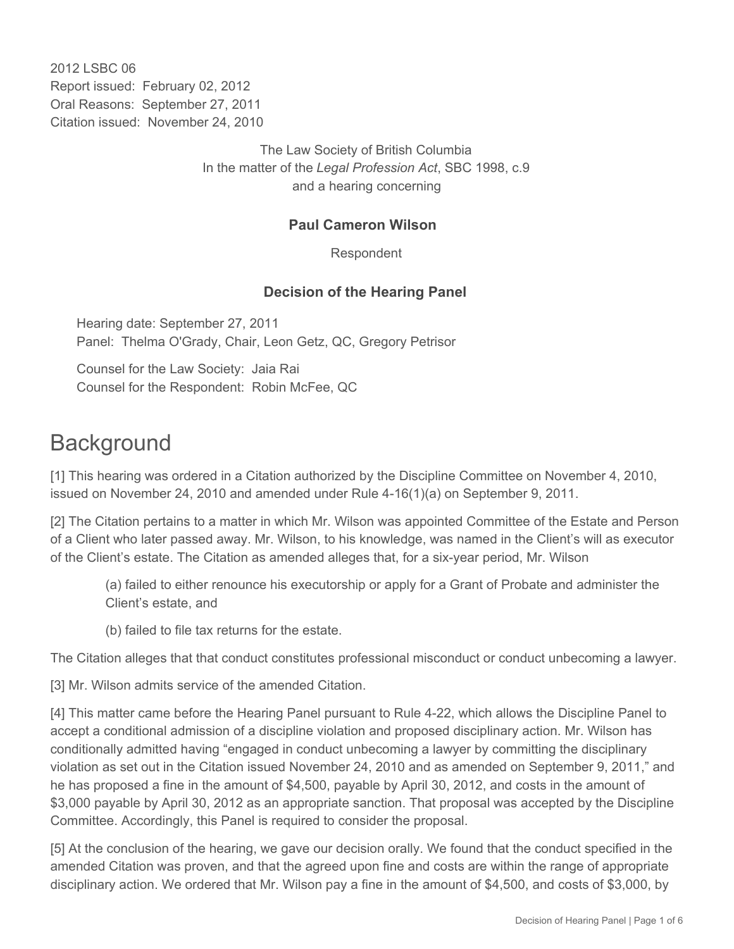2012 LSBC 06 Report issued: February 02, 2012 Oral Reasons: September 27, 2011 Citation issued: November 24, 2010

> The Law Society of British Columbia In the matter of the *Legal Profession Act*, SBC 1998, c.9 and a hearing concerning

#### **Paul Cameron Wilson**

Respondent

#### **Decision of the Hearing Panel**

Hearing date: September 27, 2011 Panel: Thelma O'Grady, Chair, Leon Getz, QC, Gregory Petrisor

Counsel for the Law Society: Jaia Rai Counsel for the Respondent: Robin McFee, QC

### **Background**

[1] This hearing was ordered in a Citation authorized by the Discipline Committee on November 4, 2010, issued on November 24, 2010 and amended under Rule 4-16(1)(a) on September 9, 2011.

[2] The Citation pertains to a matter in which Mr. Wilson was appointed Committee of the Estate and Person of a Client who later passed away. Mr. Wilson, to his knowledge, was named in the Client's will as executor of the Client's estate. The Citation as amended alleges that, for a six-year period, Mr. Wilson

(a) failed to either renounce his executorship or apply for a Grant of Probate and administer the Client's estate, and

(b) failed to file tax returns for the estate.

The Citation alleges that that conduct constitutes professional misconduct or conduct unbecoming a lawyer.

[3] Mr. Wilson admits service of the amended Citation.

[4] This matter came before the Hearing Panel pursuant to Rule 4-22, which allows the Discipline Panel to accept a conditional admission of a discipline violation and proposed disciplinary action. Mr. Wilson has conditionally admitted having "engaged in conduct unbecoming a lawyer by committing the disciplinary violation as set out in the Citation issued November 24, 2010 and as amended on September 9, 2011," and he has proposed a fine in the amount of \$4,500, payable by April 30, 2012, and costs in the amount of \$3,000 payable by April 30, 2012 as an appropriate sanction. That proposal was accepted by the Discipline Committee. Accordingly, this Panel is required to consider the proposal.

[5] At the conclusion of the hearing, we gave our decision orally. We found that the conduct specified in the amended Citation was proven, and that the agreed upon fine and costs are within the range of appropriate disciplinary action. We ordered that Mr. Wilson pay a fine in the amount of \$4,500, and costs of \$3,000, by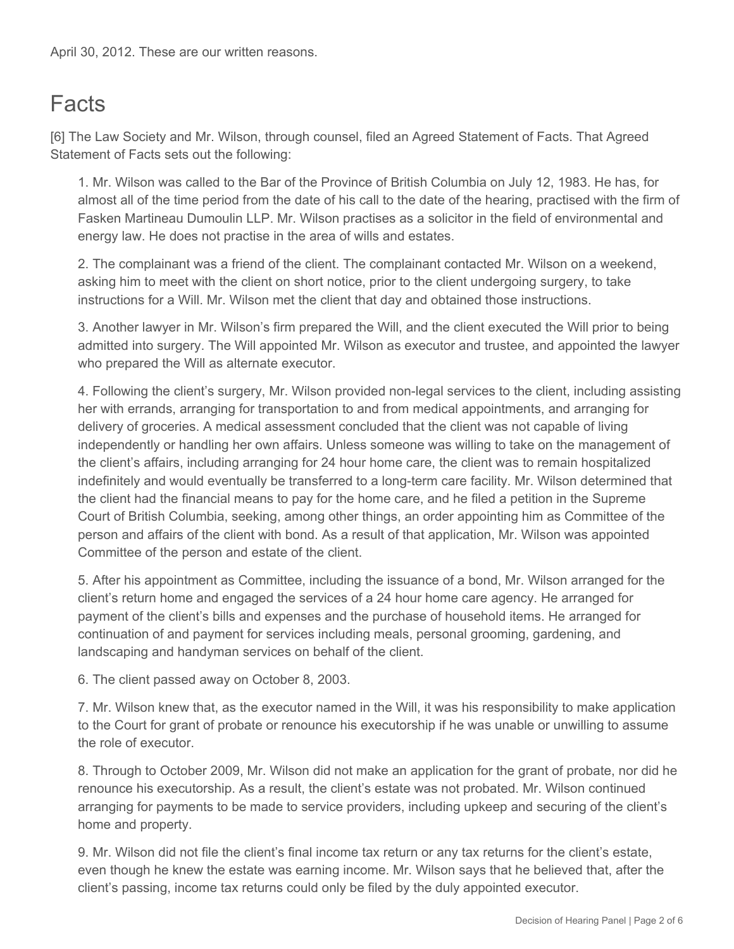# **Facts**

[6] The Law Society and Mr. Wilson, through counsel, filed an Agreed Statement of Facts. That Agreed Statement of Facts sets out the following:

1. Mr. Wilson was called to the Bar of the Province of British Columbia on July 12, 1983. He has, for almost all of the time period from the date of his call to the date of the hearing, practised with the firm of Fasken Martineau Dumoulin LLP. Mr. Wilson practises as a solicitor in the field of environmental and energy law. He does not practise in the area of wills and estates.

2. The complainant was a friend of the client. The complainant contacted Mr. Wilson on a weekend, asking him to meet with the client on short notice, prior to the client undergoing surgery, to take instructions for a Will. Mr. Wilson met the client that day and obtained those instructions.

3. Another lawyer in Mr. Wilson's firm prepared the Will, and the client executed the Will prior to being admitted into surgery. The Will appointed Mr. Wilson as executor and trustee, and appointed the lawyer who prepared the Will as alternate executor.

4. Following the client's surgery, Mr. Wilson provided non-legal services to the client, including assisting her with errands, arranging for transportation to and from medical appointments, and arranging for delivery of groceries. A medical assessment concluded that the client was not capable of living independently or handling her own affairs. Unless someone was willing to take on the management of the client's affairs, including arranging for 24 hour home care, the client was to remain hospitalized indefinitely and would eventually be transferred to a long-term care facility. Mr. Wilson determined that the client had the financial means to pay for the home care, and he filed a petition in the Supreme Court of British Columbia, seeking, among other things, an order appointing him as Committee of the person and affairs of the client with bond. As a result of that application, Mr. Wilson was appointed Committee of the person and estate of the client.

5. After his appointment as Committee, including the issuance of a bond, Mr. Wilson arranged for the client's return home and engaged the services of a 24 hour home care agency. He arranged for payment of the client's bills and expenses and the purchase of household items. He arranged for continuation of and payment for services including meals, personal grooming, gardening, and landscaping and handyman services on behalf of the client.

6. The client passed away on October 8, 2003.

7. Mr. Wilson knew that, as the executor named in the Will, it was his responsibility to make application to the Court for grant of probate or renounce his executorship if he was unable or unwilling to assume the role of executor.

8. Through to October 2009, Mr. Wilson did not make an application for the grant of probate, nor did he renounce his executorship. As a result, the client's estate was not probated. Mr. Wilson continued arranging for payments to be made to service providers, including upkeep and securing of the client's home and property.

9. Mr. Wilson did not file the client's final income tax return or any tax returns for the client's estate, even though he knew the estate was earning income. Mr. Wilson says that he believed that, after the client's passing, income tax returns could only be filed by the duly appointed executor.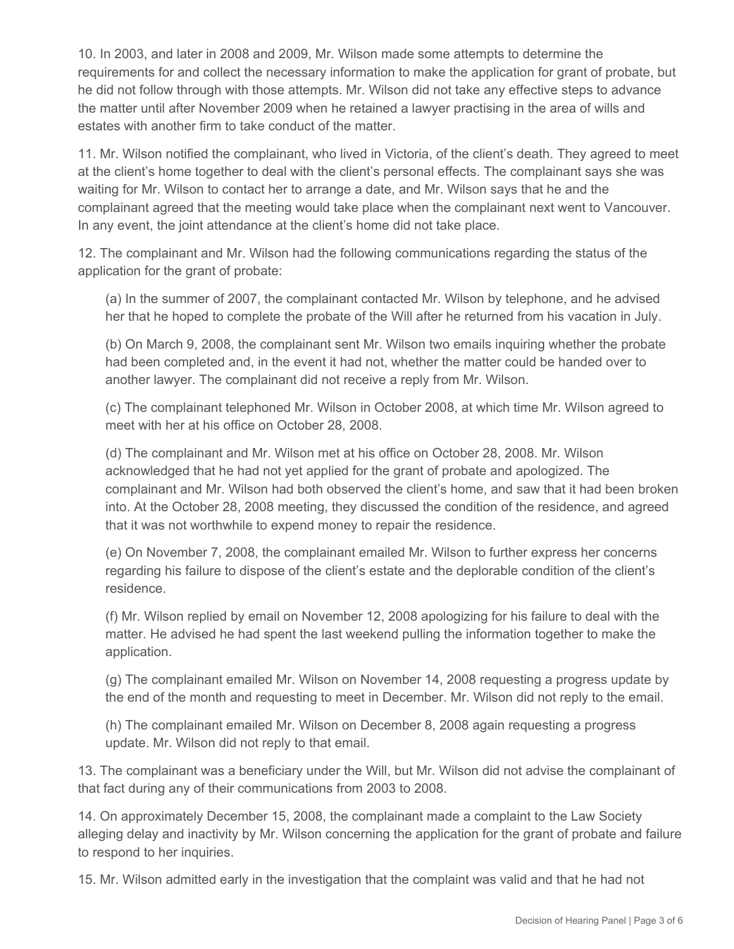10. In 2003, and later in 2008 and 2009, Mr. Wilson made some attempts to determine the requirements for and collect the necessary information to make the application for grant of probate, but he did not follow through with those attempts. Mr. Wilson did not take any effective steps to advance the matter until after November 2009 when he retained a lawyer practising in the area of wills and estates with another firm to take conduct of the matter.

11. Mr. Wilson notified the complainant, who lived in Victoria, of the client's death. They agreed to meet at the client's home together to deal with the client's personal effects. The complainant says she was waiting for Mr. Wilson to contact her to arrange a date, and Mr. Wilson says that he and the complainant agreed that the meeting would take place when the complainant next went to Vancouver. In any event, the joint attendance at the client's home did not take place.

12. The complainant and Mr. Wilson had the following communications regarding the status of the application for the grant of probate:

(a) In the summer of 2007, the complainant contacted Mr. Wilson by telephone, and he advised her that he hoped to complete the probate of the Will after he returned from his vacation in July.

(b) On March 9, 2008, the complainant sent Mr. Wilson two emails inquiring whether the probate had been completed and, in the event it had not, whether the matter could be handed over to another lawyer. The complainant did not receive a reply from Mr. Wilson.

(c) The complainant telephoned Mr. Wilson in October 2008, at which time Mr. Wilson agreed to meet with her at his office on October 28, 2008.

(d) The complainant and Mr. Wilson met at his office on October 28, 2008. Mr. Wilson acknowledged that he had not yet applied for the grant of probate and apologized. The complainant and Mr. Wilson had both observed the client's home, and saw that it had been broken into. At the October 28, 2008 meeting, they discussed the condition of the residence, and agreed that it was not worthwhile to expend money to repair the residence.

(e) On November 7, 2008, the complainant emailed Mr. Wilson to further express her concerns regarding his failure to dispose of the client's estate and the deplorable condition of the client's residence.

(f) Mr. Wilson replied by email on November 12, 2008 apologizing for his failure to deal with the matter. He advised he had spent the last weekend pulling the information together to make the application.

(g) The complainant emailed Mr. Wilson on November 14, 2008 requesting a progress update by the end of the month and requesting to meet in December. Mr. Wilson did not reply to the email.

(h) The complainant emailed Mr. Wilson on December 8, 2008 again requesting a progress update. Mr. Wilson did not reply to that email.

13. The complainant was a beneficiary under the Will, but Mr. Wilson did not advise the complainant of that fact during any of their communications from 2003 to 2008.

14. On approximately December 15, 2008, the complainant made a complaint to the Law Society alleging delay and inactivity by Mr. Wilson concerning the application for the grant of probate and failure to respond to her inquiries.

15. Mr. Wilson admitted early in the investigation that the complaint was valid and that he had not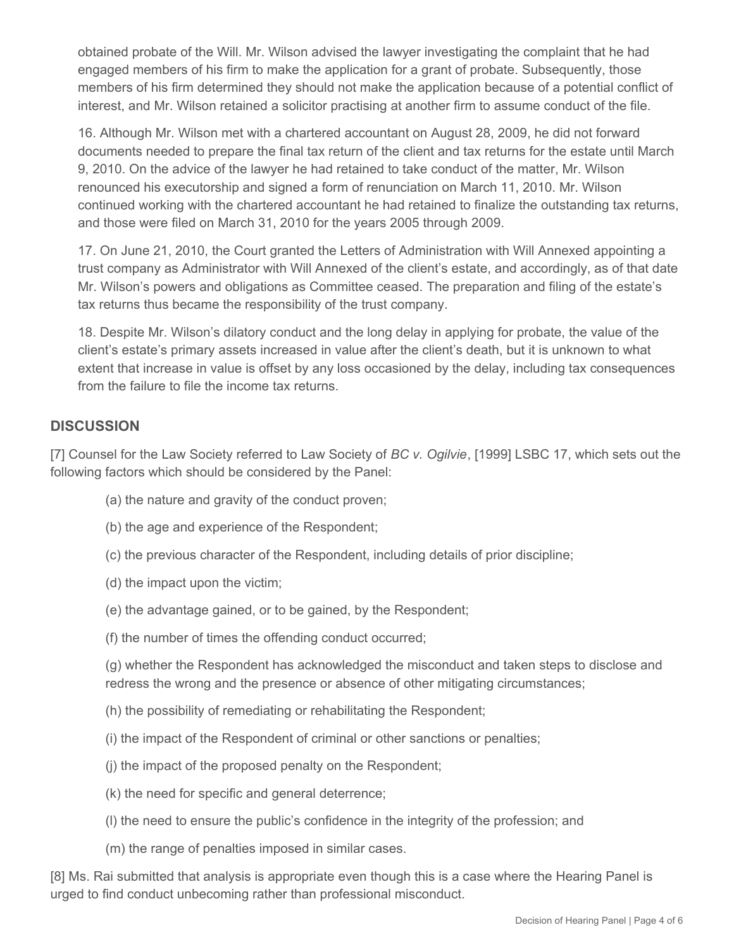obtained probate of the Will. Mr. Wilson advised the lawyer investigating the complaint that he had engaged members of his firm to make the application for a grant of probate. Subsequently, those members of his firm determined they should not make the application because of a potential conflict of interest, and Mr. Wilson retained a solicitor practising at another firm to assume conduct of the file.

16. Although Mr. Wilson met with a chartered accountant on August 28, 2009, he did not forward documents needed to prepare the final tax return of the client and tax returns for the estate until March 9, 2010. On the advice of the lawyer he had retained to take conduct of the matter, Mr. Wilson renounced his executorship and signed a form of renunciation on March 11, 2010. Mr. Wilson continued working with the chartered accountant he had retained to finalize the outstanding tax returns, and those were filed on March 31, 2010 for the years 2005 through 2009.

17. On June 21, 2010, the Court granted the Letters of Administration with Will Annexed appointing a trust company as Administrator with Will Annexed of the client's estate, and accordingly, as of that date Mr. Wilson's powers and obligations as Committee ceased. The preparation and filing of the estate's tax returns thus became the responsibility of the trust company.

18. Despite Mr. Wilson's dilatory conduct and the long delay in applying for probate, the value of the client's estate's primary assets increased in value after the client's death, but it is unknown to what extent that increase in value is offset by any loss occasioned by the delay, including tax consequences from the failure to file the income tax returns.

#### **DISCUSSION**

[7] Counsel for the Law Society referred to Law Society of *BC v. Ogilvie*, [1999] LSBC 17, which sets out the following factors which should be considered by the Panel:

- (a) the nature and gravity of the conduct proven;
- (b) the age and experience of the Respondent;
- (c) the previous character of the Respondent, including details of prior discipline;
- (d) the impact upon the victim;
- (e) the advantage gained, or to be gained, by the Respondent;
- (f) the number of times the offending conduct occurred;

(g) whether the Respondent has acknowledged the misconduct and taken steps to disclose and redress the wrong and the presence or absence of other mitigating circumstances;

- (h) the possibility of remediating or rehabilitating the Respondent;
- (i) the impact of the Respondent of criminal or other sanctions or penalties;
- (j) the impact of the proposed penalty on the Respondent;
- (k) the need for specific and general deterrence;
- (l) the need to ensure the public's confidence in the integrity of the profession; and
- (m) the range of penalties imposed in similar cases.

[8] Ms. Rai submitted that analysis is appropriate even though this is a case where the Hearing Panel is urged to find conduct unbecoming rather than professional misconduct.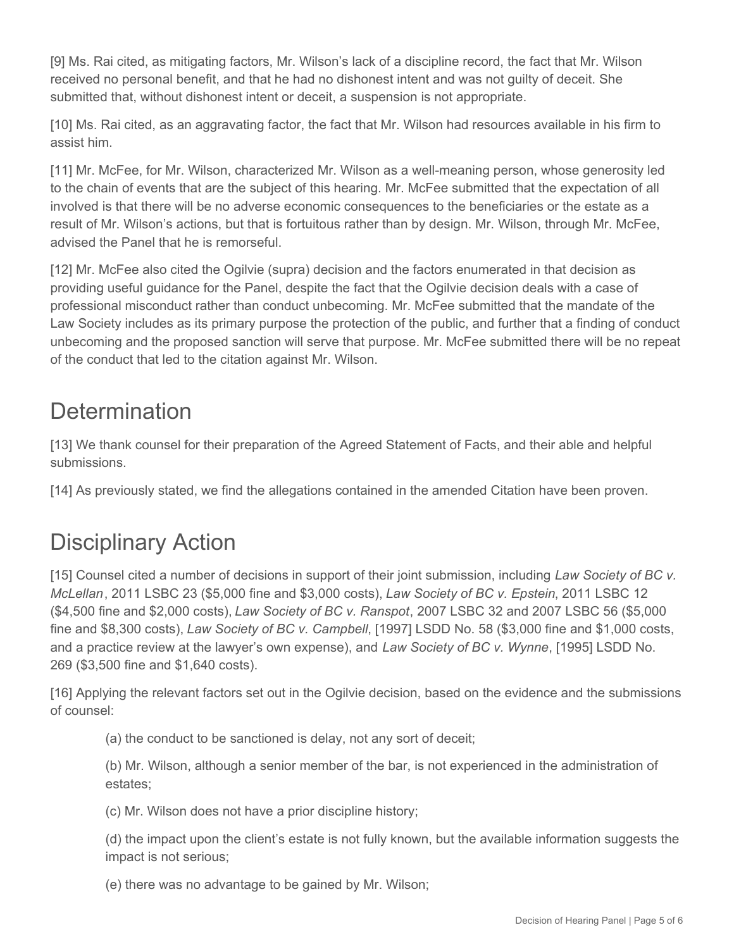[9] Ms. Rai cited, as mitigating factors, Mr. Wilson's lack of a discipline record, the fact that Mr. Wilson received no personal benefit, and that he had no dishonest intent and was not guilty of deceit. She submitted that, without dishonest intent or deceit, a suspension is not appropriate.

[10] Ms. Rai cited, as an aggravating factor, the fact that Mr. Wilson had resources available in his firm to assist him.

[11] Mr. McFee, for Mr. Wilson, characterized Mr. Wilson as a well-meaning person, whose generosity led to the chain of events that are the subject of this hearing. Mr. McFee submitted that the expectation of all involved is that there will be no adverse economic consequences to the beneficiaries or the estate as a result of Mr. Wilson's actions, but that is fortuitous rather than by design. Mr. Wilson, through Mr. McFee, advised the Panel that he is remorseful.

[12] Mr. McFee also cited the Ogilvie (supra) decision and the factors enumerated in that decision as providing useful guidance for the Panel, despite the fact that the Ogilvie decision deals with a case of professional misconduct rather than conduct unbecoming. Mr. McFee submitted that the mandate of the Law Society includes as its primary purpose the protection of the public, and further that a finding of conduct unbecoming and the proposed sanction will serve that purpose. Mr. McFee submitted there will be no repeat of the conduct that led to the citation against Mr. Wilson.

## **Determination**

[13] We thank counsel for their preparation of the Agreed Statement of Facts, and their able and helpful submissions.

[14] As previously stated, we find the allegations contained in the amended Citation have been proven.

## Disciplinary Action

[15] Counsel cited a number of decisions in support of their joint submission, including *Law Society of BC v. McLellan*, 2011 LSBC 23 (\$5,000 fine and \$3,000 costs), *Law Society of BC v. Epstein*, 2011 LSBC 12 (\$4,500 fine and \$2,000 costs), *Law Society of BC v. Ranspot*, 2007 LSBC 32 and 2007 LSBC 56 (\$5,000 fine and \$8,300 costs), *Law Society of BC v. Campbell*, [1997] LSDD No. 58 (\$3,000 fine and \$1,000 costs, and a practice review at the lawyer's own expense), and *Law Society of BC v. Wynne*, [1995] LSDD No. 269 (\$3,500 fine and \$1,640 costs).

[16] Applying the relevant factors set out in the Ogilvie decision, based on the evidence and the submissions of counsel:

(a) the conduct to be sanctioned is delay, not any sort of deceit;

(b) Mr. Wilson, although a senior member of the bar, is not experienced in the administration of estates;

(c) Mr. Wilson does not have a prior discipline history;

(d) the impact upon the client's estate is not fully known, but the available information suggests the impact is not serious;

(e) there was no advantage to be gained by Mr. Wilson;